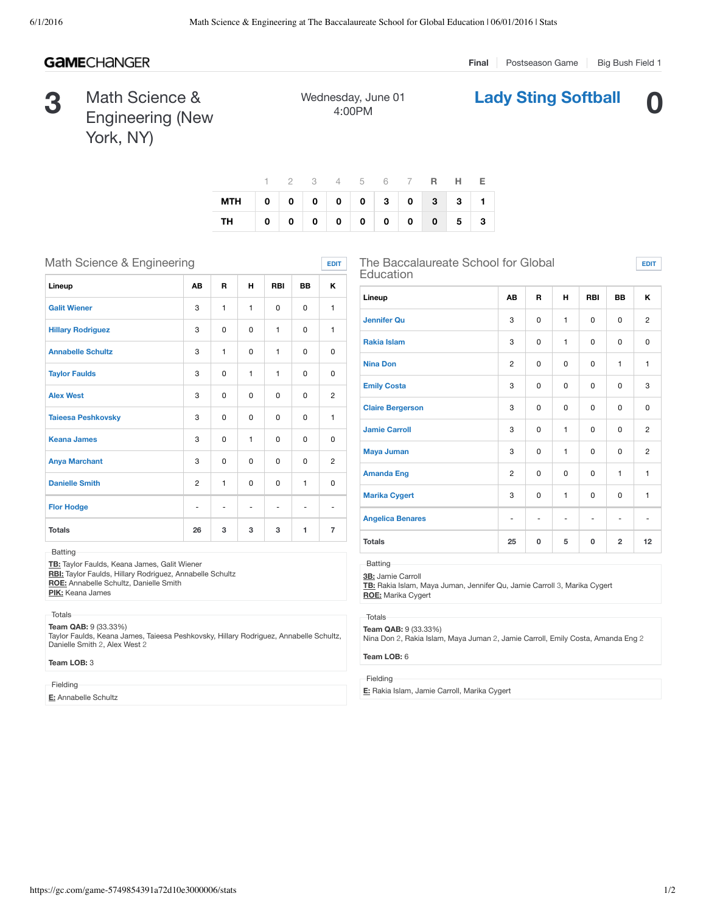# **GAMECHANGER**

**3** Math Science & Engineering (New York, NY)

Wednesday, June 01 4:00PM

|                           |  |  |  | 1 2 3 4 5 6 7 <b>R H E</b> |  |
|---------------------------|--|--|--|----------------------------|--|
| MTH 0 0 0 0 0 0 3 0 3 3 1 |  |  |  |                            |  |
| TH 0 0 0 0 0 0 0 0 5 3    |  |  |  |                            |  |

| Math Science & Engineering |                |              |          |             |              |                |  |
|----------------------------|----------------|--------------|----------|-------------|--------------|----------------|--|
| Lineup                     | <b>AB</b>      | R            | н        | <b>RBI</b>  | <b>BB</b>    | κ              |  |
| <b>Galit Wiener</b>        | 3              | 1            | 1        | $\Omega$    | 0            | $\mathbf{1}$   |  |
| <b>Hillary Rodriguez</b>   | 3              | 0            | $\Omega$ | 1           | 0            | 1              |  |
| <b>Annabelle Schultz</b>   | 3              | $\mathbf{1}$ | $\Omega$ | 1           | 0            | $\Omega$       |  |
| <b>Taylor Faulds</b>       | 3              | $\Omega$     | 1        | 1           | 0            | $\Omega$       |  |
| <b>Alex West</b>           | 3              | 0            | $\Omega$ | 0           | 0            | $\overline{2}$ |  |
| <b>Taieesa Peshkovsky</b>  | 3              | $\Omega$     | $\Omega$ | $\mathbf 0$ | 0            | 1              |  |
| <b>Keana James</b>         | 3              | 0            | 1        | $\Omega$    | 0            | $\Omega$       |  |
| <b>Anya Marchant</b>       | 3              | 0            | $\Omega$ | $\Omega$    | 0            | $\overline{2}$ |  |
| <b>Danielle Smith</b>      | $\overline{c}$ | $\mathbf{1}$ | 0        | 0           | $\mathbf{1}$ | 0              |  |
| <b>Flor Hodge</b>          |                | ۰            |          |             |              | ٠              |  |
| <b>Totals</b>              | 26             | 3            | 3        | 3           | 1            | $\overline{7}$ |  |

# Batting

**TB:** Taylor Faulds, Keana James, Galit Wiener **RBI:** Taylor Faulds, Hillary Rodriguez, Annabelle Schultz **ROE:** Annabelle Schultz, Danielle Smith **PIK:** Keana James

#### Totals

**Team QAB:** 9 (33.33%)

Taylor Faulds, Keana James, Taieesa Peshkovsky, Hillary Rodriguez, Annabelle Schultz, Danielle Smith 2, Alex West 2

#### **Team LOB:** 3

Fielding

**E:** Annabelle Schultz

The Baccalaureate School for Global Education

| Lineup                  | AB | R           | н            | <b>RBI</b> | <b>BB</b>      | ĸ              |
|-------------------------|----|-------------|--------------|------------|----------------|----------------|
| <b>Jennifer Qu</b>      | 3  | $\Omega$    | 1            | $\Omega$   | $\Omega$       | $\overline{2}$ |
| <b>Rakia Islam</b>      | 3  | 0           | $\mathbf{1}$ | $\Omega$   | 0              | 0              |
| <b>Nina Don</b>         | 2  | 0           | 0            | 0          | $\mathbf{1}$   | $\mathbf{1}$   |
| <b>Emily Costa</b>      | 3  | 0           | 0            | 0          | 0              | 3              |
| <b>Claire Bergerson</b> | 3  | $\Omega$    | $\Omega$     | $\Omega$   | $\Omega$       | 0              |
| <b>Jamie Carroll</b>    | 3  | 0           | $\mathbf{1}$ | $\Omega$   | $\mathbf 0$    | $\overline{2}$ |
| <b>Maya Juman</b>       | 3  | 0           | $\mathbf{1}$ | $\Omega$   | 0              | $\overline{2}$ |
| <b>Amanda Eng</b>       | 2  | 0           | $\Omega$     | 0          | 1              | $\mathbf{1}$   |
| <b>Marika Cygert</b>    | 3  | 0           | $\mathbf{1}$ | 0          | 0              | $\mathbf{1}$   |
| <b>Angelica Benares</b> |    |             |              |            |                |                |
| <b>Totals</b>           | 25 | $\mathbf 0$ | 5            | 0          | $\overline{2}$ | 12             |

**Final** Postseason Game | Big Bush Field 1

**Lady Sting Softball 0**

Batting

**3B:** Jamie Carroll

**TB:** Rakia Islam, Maya Juman, Jennifer Qu, Jamie Carroll 3, Marika Cygert **ROE:** Marika Cygert

#### Totals

**Team QAB:** 9 (33.33%) Nina Don 2, Rakia Islam, Maya Juman 2, Jamie Carroll, Emily Costa, Amanda Eng 2

### **Team LOB:** 6

Fielding

**E:** Rakia Islam, Jamie Carroll, Marika Cygert

**EDIT**